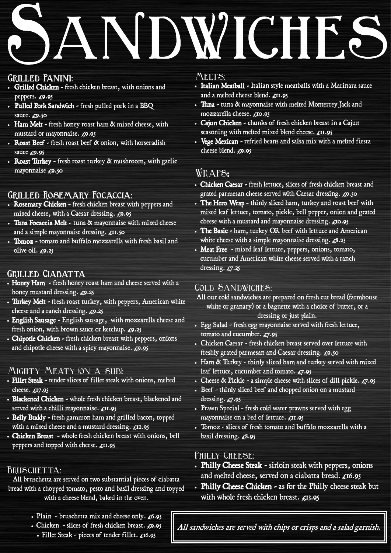## SANDWICHES

## GRILLED PANINI:

## Wraps*:*

- Chicken Caesar fresh lettuce, slices of fresh chicken breast and grated parmesan cheese served with Caesar dressing. £9.50
- The Hero Wrap thinly sliced ham, turkey and roast beef with mixed leaf lettuce, tomato, pickle, bell pepper, onion and grated cheese with a mustard and mayonnaise dressing. £10.95
- The Basic ham, turkey OR beef with lettuce and American white cheese with a simple mayonnaise dressing.  $\pounds 8.25$
- Meat Free mixed leaf lettuce, peppers, onions, tomato, cucumber and American white cheese served with a ranch dressing.  $\mathcal{L}7.25$
- Rosemary Chicken fresh chicken breast with peppers and mixed cheese, with a Caesar dressing. £9.95
- Tuna Focaccia Melt tuna & mayonnaise with mixed cheese and a simple mayonnaise dressing. £11.50
- Tomoz tomato and buffalo mozzarella with fresh basil and olive oil.  $\mathcal{L}9.25$

### GRILLED CIABATTA

- Honey Ham fresh honey roast ham and cheese served with a honey mustard dressing. £9.25
- Turkey Melt fresh roast turkey, with peppers, American white cheese and a ranch dressing.  $\mathcal{L}9.25$
- English Sausage English sausage, with mozzarella cheese and fresh onion, with brown sauce or ketchup.  $\mathcal{L}9.25$
- Chipotle Chicken fresh chicken breast with peppers, onions and chipotle cheese with a spicy mayonnaise.  $\mathcal{L}9.95$
- Grilled Chicken fresh chicken breast, with onions and peppers.  $\mathcal{L}9.95$
- Pulled Pork Sandwich fresh pulled pork in a BBQ sauce. £9.50
- Ham Melt fresh honey roast ham & mixed cheese, with mustard or mayonnaise.  $\mathcal{L}9.95$
- Roast Beef fresh roast beef & onion, with horseradish sauce £9.95
- Roast Turkey fresh roast turkey & mushroom, with garlic mayonnaise  $\mathcal{L}9.50$

## GRILLED ROSEMARY FOCACCIA:

All sandwiches are served with chips or crisps and a salad garnish.

- Italian Meatball Italian style meatballs with a Marinara sauce and a melted cheese blend.  $\mathcal{L}$ II.95
- Tuna tuna & mayonnaise with melted Monterrey Jack and mozzarella cheese. £10.95
- Cajun Chicken chunks of fresh chicken breast in a Cajun seasoning with melted mixed blend cheese.  $\boldsymbol{\mathcal{L}}$ 11.95
- Vege Mexican refried beans and salsa mix with a melted fiesta cheese blend.  $\epsilon$ 9.95

- Philly Cheese Steak sirloin steak with peppers, onions and melted cheese, served on a ciabatta bread. £16.95 • Philly Cheese Chicken - as for the Philly cheese steak but with whole fresh chicken breast.  $\mathcal{L}$ 13.95
- Plain bruschetta mix and cheese only.  $\mathcal{L}6.95$ • Chicken - slices of fresh chicken breast.  $\mathcal{L}9.95$ • Fillet Steak - pieces of tender fillet. £16.95
- All our cold sandwiches are prepared on fresh cut bread (farmhouse white or granary) or a baguette with a choice of butter, or a dressing or just plain.
- Egg Salad fresh egg mayonnaise served with fresh lettuce, tomato and cucumber. £7.95
- Chicken Caesar fresh chicken breast served over lettuce with freshly grated parmesan and Caesar dressing. £9.50
- Ham & Turkey thinly sliced ham and turkey served with mixed leaf lettuce, cucumber and tomato. £7.95
- Cheese & Pickle a simple cheese with slices of dill pickle.  $\epsilon$ 7.95
- Beef thinly sliced beef and chopped onion on a mustard dressing.  $E7.95$
- Prawn Special fresh cold water prawns served with egg mayonnaise on a bed of lettuce.  $\boldsymbol{\mathcal{L}}$ 11.95

with a mixed cheese and a mustard dressing. £12.95 • Chicken Breast - whole fresh chicken breast with onions, bell peppers and topped with cheese. £11.95

#### BRUSCHETTA:

• Tomoz - slices of fresh tomato and buffalo mozzarella with a basil dressing.  $\mathcal{L}8.95$ 

#### PHILLY CHEESE:

### Mighty Meaty (on a sub):

- Fillet Steak tender slices of fillet steak with onions, melted cheese. £17.95
- Blackened Chicken whole fresh chicken breast, blackened and served with a chilli mayonnaise.  $\mathcal{L}$ 11.95
- Belly Buddy fresh gammon ham and grilled bacon, topped

#### MELTS:

#### Cold Sandwiches:

All bruschetta are served on two substantial pieces of ciabatta bread with a chopped tomato, pesto and basil dressing and topped with a cheese blend, baked in the oven.